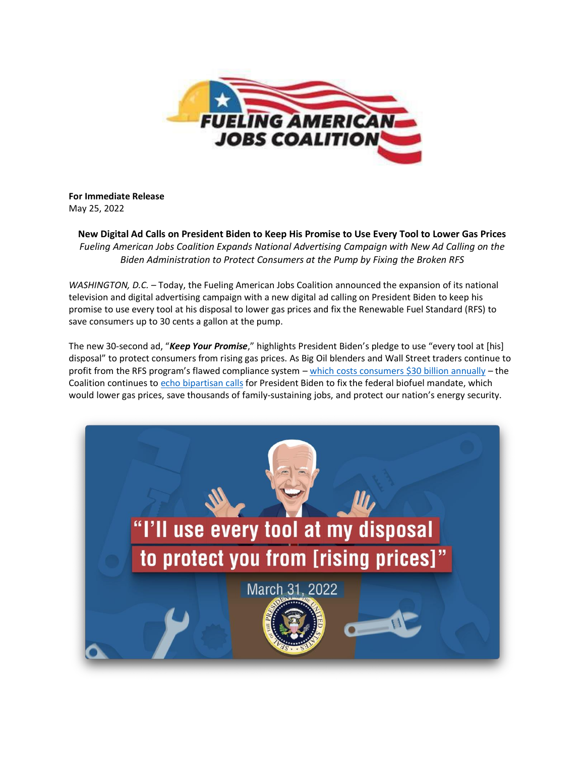

## **For Immediate Release** May 25, 2022

**New Digital Ad Calls on President Biden to Keep His Promise to Use Every Tool to Lower Gas Prices** *Fueling American Jobs Coalition Expands National Advertising Campaign with New Ad Calling on the Biden Administration to Protect Consumers at the Pump by Fixing the Broken RFS*

*WASHINGTON, D.C.* – Today, the Fueling American Jobs Coalition announced the expansion of its national television and digital advertising campaign with a new digital ad calling on President Biden to keep his promise to use every tool at his disposal to lower gas prices and fix the Renewable Fuel Standard (RFS) to save consumers up to 30 cents a gallon at the pump.

The new 30-second ad, "*Keep Your Promise*," highlights President Biden's pledge to use "every tool at [his] disposal" to protect consumers from rising gas prices. As Big Oil blenders and Wall Street traders continue to profit from the RFS program's flawed compliance system – [which costs consumers \\$30 billion annually](https://www.fuelingusjobs.com/may-17-2022) – the Coalition continues to [echo bipartisan calls](https://www.fuelingusjobs.com/library/public/Letters/East-Coast-Calls-for-RFS-Reform.pdf) for President Biden to fix the federal biofuel mandate, which would lower gas prices, save thousands of family-sustaining jobs, and protect our nation's energy security.